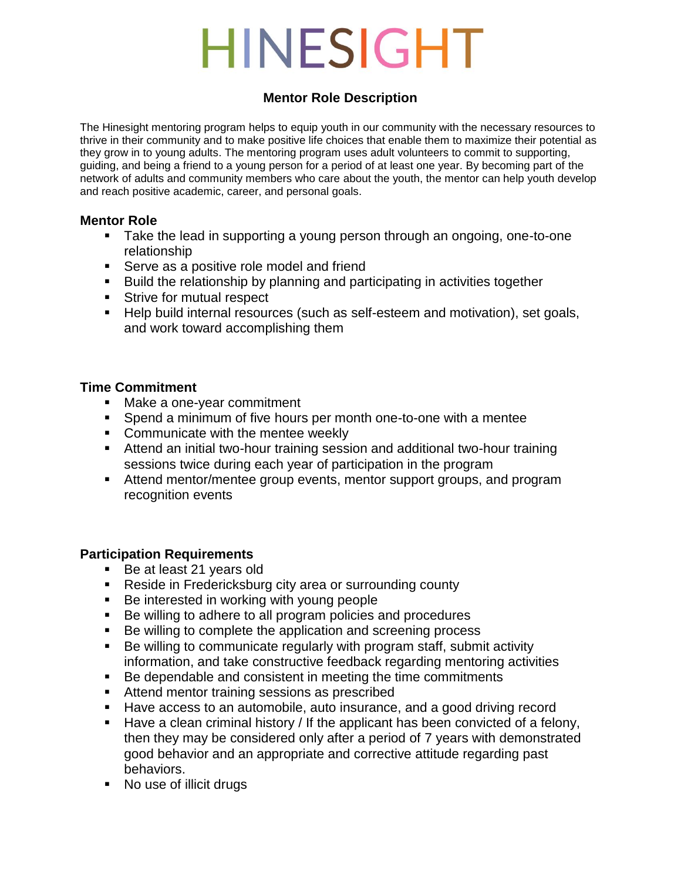### **Mentor Role Description**

The Hinesight mentoring program helps to equip youth in our community with the necessary resources to thrive in their community and to make positive life choices that enable them to maximize their potential as they grow in to young adults. The mentoring program uses adult volunteers to commit to supporting, guiding, and being a friend to a young person for a period of at least one year. By becoming part of the network of adults and community members who care about the youth, the mentor can help youth develop and reach positive academic, career, and personal goals.

### **Mentor Role**

- **Take the lead in supporting a young person through an ongoing, one-to-one** relationship
- **Serve as a positive role model and friend**
- **Build the relationship by planning and participating in activities together**
- **Strive for mutual respect**
- Help build internal resources (such as self-esteem and motivation), set goals, and work toward accomplishing them

### **Time Commitment**

- Make a one-year commitment
- Spend a minimum of five hours per month one-to-one with a mentee
- **Communicate with the mentee weekly**
- Attend an initial two-hour training session and additional two-hour training sessions twice during each year of participation in the program
- Attend mentor/mentee group events, mentor support groups, and program recognition events

### **Participation Requirements**

- Be at least 21 years old
- Reside in Fredericksburg city area or surrounding county
- Be interested in working with young people
- Be willing to adhere to all program policies and procedures
- Be willing to complete the application and screening process
- Be willing to communicate regularly with program staff, submit activity information, and take constructive feedback regarding mentoring activities
- Be dependable and consistent in meeting the time commitments
- **Attend mentor training sessions as prescribed**
- Have access to an automobile, auto insurance, and a good driving record
- Have a clean criminal history / If the applicant has been convicted of a felony, then they may be considered only after a period of 7 years with demonstrated good behavior and an appropriate and corrective attitude regarding past behaviors.
- No use of illicit drugs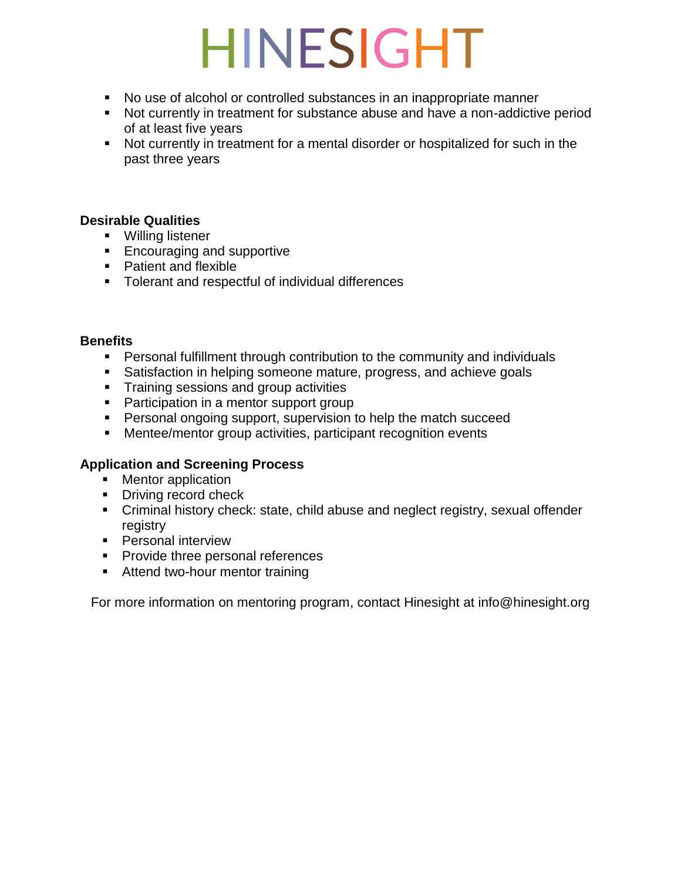- No use of alcohol or controlled substances in an inappropriate manner
- Not currently in treatment for substance abuse and have a non-addictive period of at least five years
- Not currently in treatment for a mental disorder or hospitalized for such in the past three years

### **Desirable Qualities**

- **Willing listener**
- **Encouraging and supportive**
- **Patient and flexible**
- **Tolerant and respectful of individual differences**

### **Benefits**

- Personal fulfillment through contribution to the community and individuals
- **Satisfaction in helping someone mature, progress, and achieve goals**
- **Training sessions and group activities**
- **Participation in a mentor support group**
- **Personal ongoing support, supervision to help the match succeed**
- **Mentee/mentor group activities, participant recognition events**

### **Application and Screening Process**

- Mentor application
- Driving record check
- Criminal history check: state, child abuse and neglect registry, sexual offender registry
- **Personal interview**
- **Provide three personal references**
- **Attend two-hour mentor training**

For more information on mentoring program, contact Hinesight at info@hinesight.org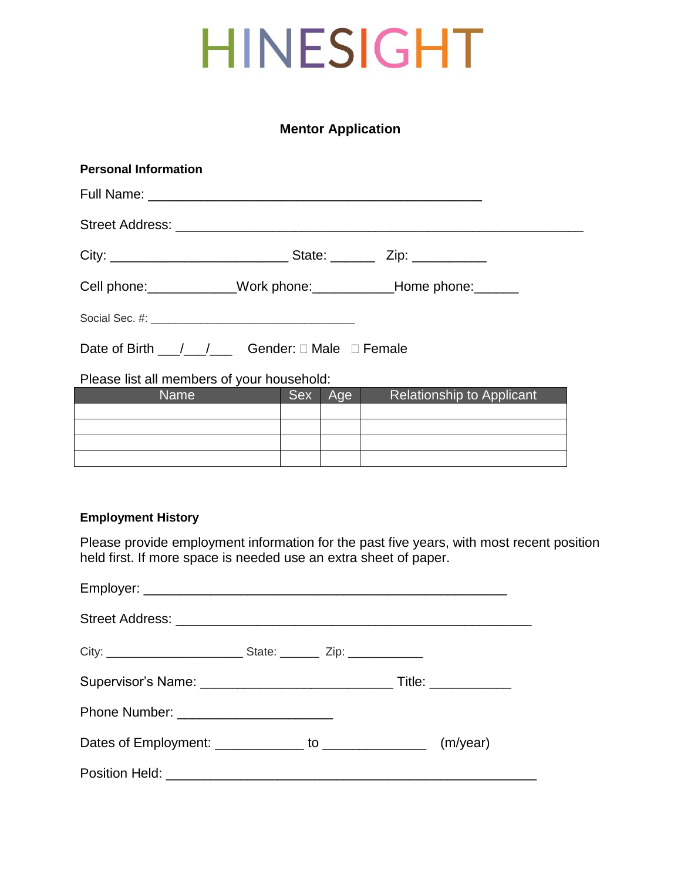### **Mentor Application**

| <b>Personal Information</b>                                                                                   |  |         |                           |  |  |  |
|---------------------------------------------------------------------------------------------------------------|--|---------|---------------------------|--|--|--|
|                                                                                                               |  |         |                           |  |  |  |
|                                                                                                               |  |         |                           |  |  |  |
|                                                                                                               |  |         |                           |  |  |  |
| Cell phone: ____________Work phone: ____________Home phone: _______                                           |  |         |                           |  |  |  |
|                                                                                                               |  |         |                           |  |  |  |
| Date of Birth $1 / 1$ Gender: $\Box$ Male $\Box$ Female                                                       |  |         |                           |  |  |  |
| Please list all members of your household:                                                                    |  |         |                           |  |  |  |
| Name and the state of the state of the state of the state of the state of the state of the state of the state |  | Sex Age | Relationship to Applicant |  |  |  |
|                                                                                                               |  |         |                           |  |  |  |

### **Employment History**

Please provide employment information for the past five years, with most recent position held first. If more space is needed use an extra sheet of paper.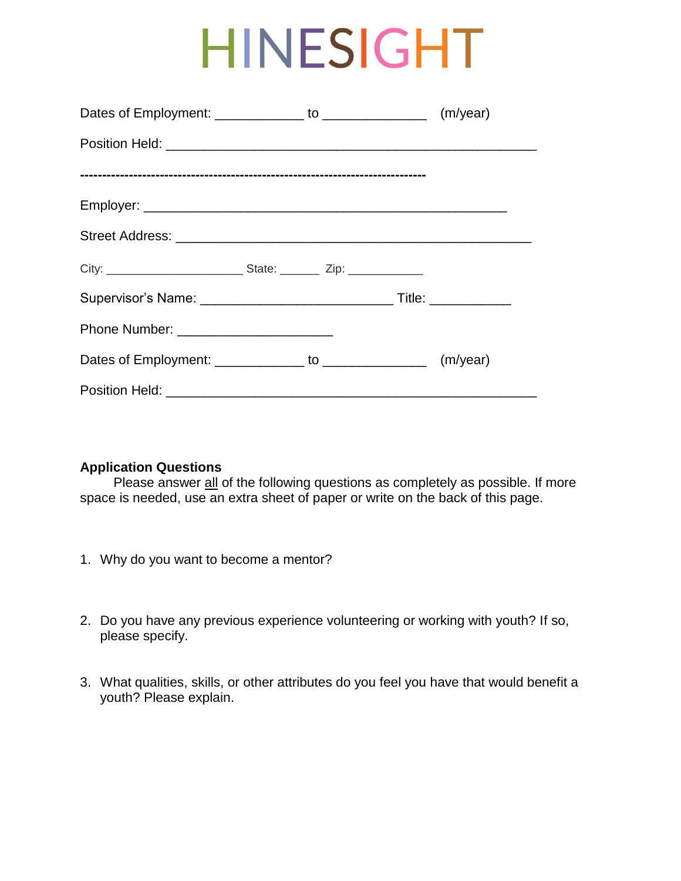### **Application Questions**

Please answer all of the following questions as completely as possible. If more space is needed, use an extra sheet of paper or write on the back of this page.

- 1. Why do you want to become a mentor?
- 2. Do you have any previous experience volunteering or working with youth? If so, please specify.
- 3. What qualities, skills, or other attributes do you feel you have that would benefit a youth? Please explain.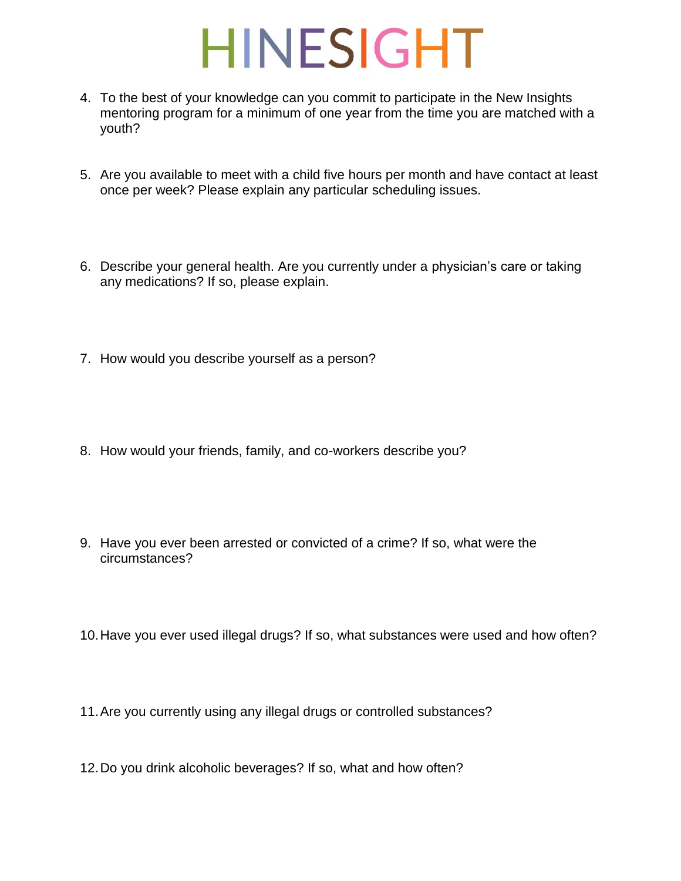- 4. To the best of your knowledge can you commit to participate in the New Insights mentoring program for a minimum of one year from the time you are matched with a youth?
- 5. Are you available to meet with a child five hours per month and have contact at least once per week? Please explain any particular scheduling issues.
- 6. Describe your general health. Are you currently under a physician's care or taking any medications? If so, please explain.
- 7. How would you describe yourself as a person?
- 8. How would your friends, family, and co-workers describe you?
- 9. Have you ever been arrested or convicted of a crime? If so, what were the circumstances?
- 10.Have you ever used illegal drugs? If so, what substances were used and how often?
- 11.Are you currently using any illegal drugs or controlled substances?
- 12.Do you drink alcoholic beverages? If so, what and how often?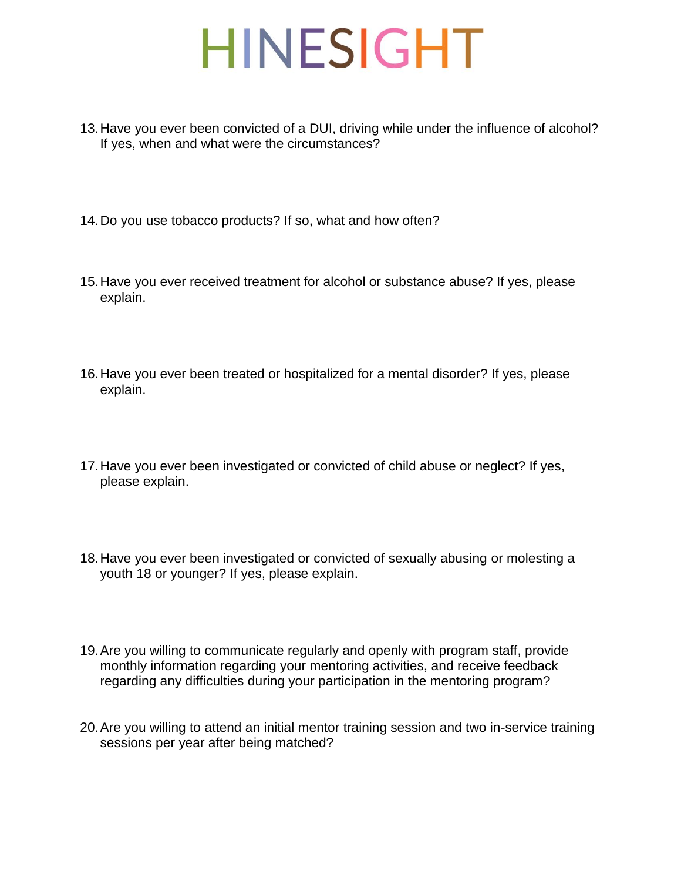- 13.Have you ever been convicted of a DUI, driving while under the influence of alcohol? If yes, when and what were the circumstances?
- 14.Do you use tobacco products? If so, what and how often?
- 15.Have you ever received treatment for alcohol or substance abuse? If yes, please explain.
- 16.Have you ever been treated or hospitalized for a mental disorder? If yes, please explain.
- 17.Have you ever been investigated or convicted of child abuse or neglect? If yes, please explain.
- 18.Have you ever been investigated or convicted of sexually abusing or molesting a youth 18 or younger? If yes, please explain.
- 19.Are you willing to communicate regularly and openly with program staff, provide monthly information regarding your mentoring activities, and receive feedback regarding any difficulties during your participation in the mentoring program?
- 20.Are you willing to attend an initial mentor training session and two in-service training sessions per year after being matched?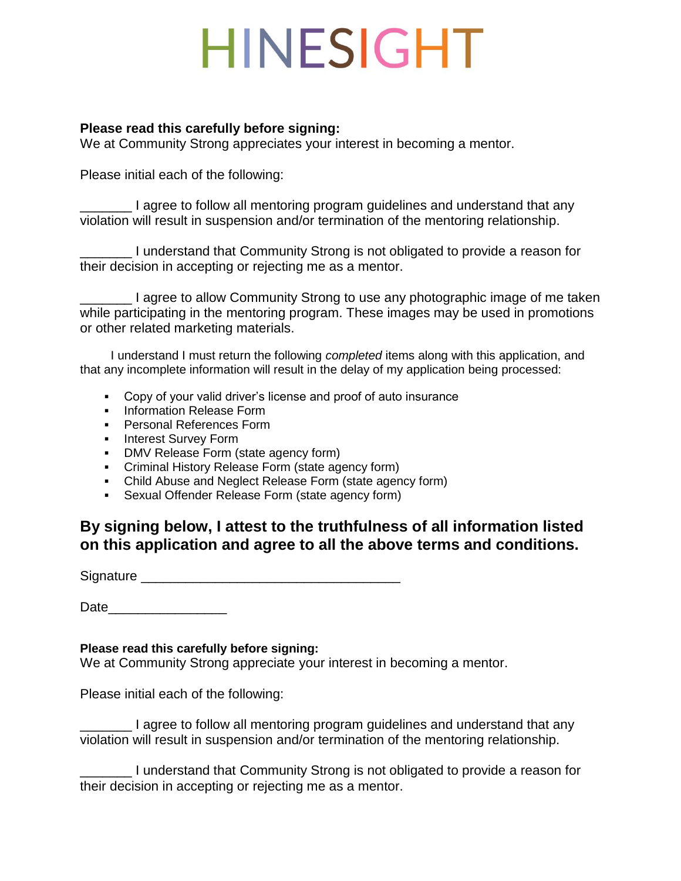#### **Please read this carefully before signing:**

We at Community Strong appreciates your interest in becoming a mentor.

Please initial each of the following:

\_\_\_\_\_\_\_ I agree to follow all mentoring program guidelines and understand that any violation will result in suspension and/or termination of the mentoring relationship.

\_\_\_\_\_\_\_ I understand that Community Strong is not obligated to provide a reason for their decision in accepting or rejecting me as a mentor.

\_\_\_\_\_\_\_ I agree to allow Community Strong to use any photographic image of me taken while participating in the mentoring program. These images may be used in promotions or other related marketing materials.

 I understand I must return the following *completed* items along with this application, and that any incomplete information will result in the delay of my application being processed:

- Copy of your valid driver's license and proof of auto insurance
- **Information Release Form**
- **Personal References Form**
- **Interest Survey Form**
- **DMV Release Form (state agency form)**
- Criminal History Release Form (state agency form)
- Child Abuse and Neglect Release Form (state agency form)
- Sexual Offender Release Form (state agency form)

### **By signing below, I attest to the truthfulness of all information listed on this application and agree to all the above terms and conditions.**

Signature **Example 2018** 

Date **Date** 

### **Please read this carefully before signing:**

We at Community Strong appreciate your interest in becoming a mentor.

Please initial each of the following:

\_\_\_\_\_\_\_ I agree to follow all mentoring program guidelines and understand that any violation will result in suspension and/or termination of the mentoring relationship.

I understand that Community Strong is not obligated to provide a reason for their decision in accepting or rejecting me as a mentor.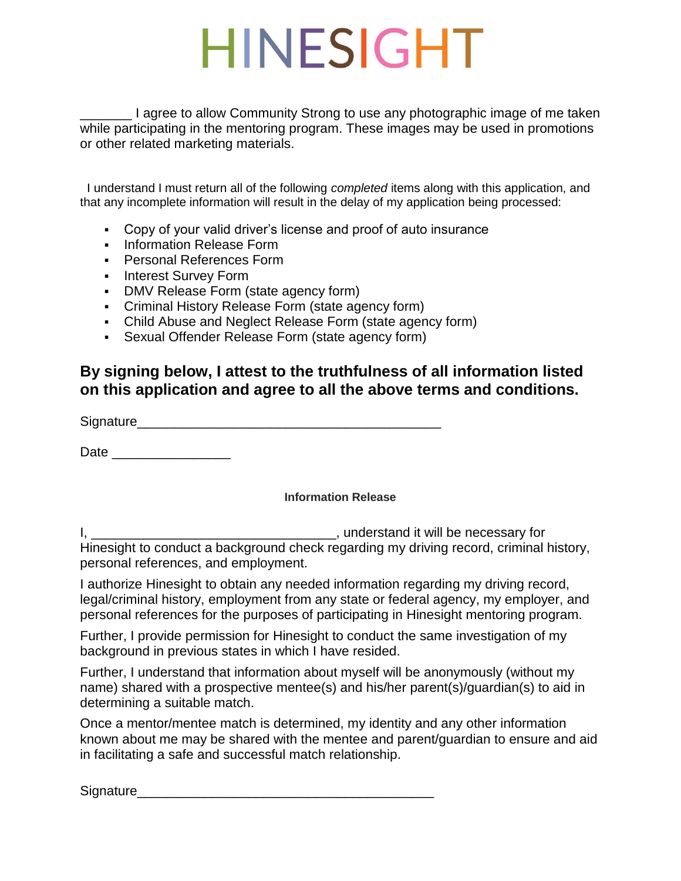\_\_\_\_\_\_\_ I agree to allow Community Strong to use any photographic image of me taken while participating in the mentoring program. These images may be used in promotions or other related marketing materials.

 I understand I must return all of the following *completed* items along with this application, and that any incomplete information will result in the delay of my application being processed:

- Copy of your valid driver's license and proof of auto insurance
- **-** Information Release Form
- **Personal References Form**
- **Interest Survey Form**
- DMV Release Form (state agency form)
- Criminal History Release Form (state agency form)
- Child Abuse and Neglect Release Form (state agency form)
- Sexual Offender Release Form (state agency form)

### **By signing below, I attest to the truthfulness of all information listed on this application and agree to all the above terms and conditions.**

Signature\_\_\_\_\_\_\_\_\_\_\_\_\_\_\_\_\_\_\_\_\_\_\_\_\_\_\_\_\_\_\_\_\_\_\_\_\_\_\_\_\_

Date  $\Box$ 

#### **Information Release**

I, the contract of the contract of the contract of the contract of the necessary for the contract of the contract of the contract of the contract of the contract of the contract of the contract of the contract of the contr Hinesight to conduct a background check regarding my driving record, criminal history, personal references, and employment.

I authorize Hinesight to obtain any needed information regarding my driving record, legal/criminal history, employment from any state or federal agency, my employer, and personal references for the purposes of participating in Hinesight mentoring program.

Further, I provide permission for Hinesight to conduct the same investigation of my background in previous states in which I have resided.

Further, I understand that information about myself will be anonymously (without my name) shared with a prospective mentee(s) and his/her parent(s)/guardian(s) to aid in determining a suitable match.

Once a mentor/mentee match is determined, my identity and any other information known about me may be shared with the mentee and parent/guardian to ensure and aid in facilitating a safe and successful match relationship.

Signature\_\_\_\_\_\_\_\_\_\_\_\_\_\_\_\_\_\_\_\_\_\_\_\_\_\_\_\_\_\_\_\_\_\_\_\_\_\_\_\_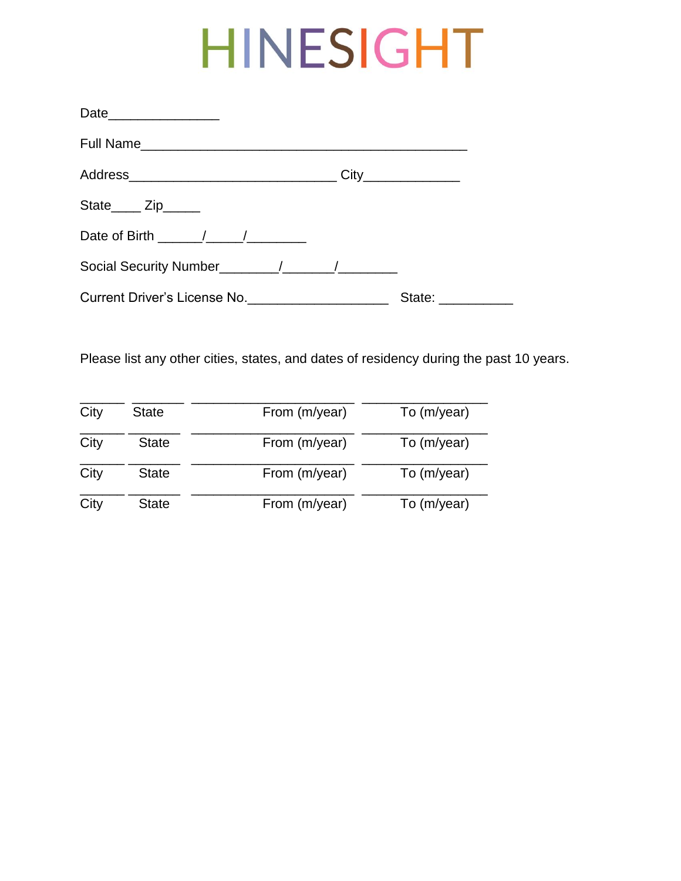|                              | City              |
|------------------------------|-------------------|
| State_____ Zip______         |                   |
|                              |                   |
|                              |                   |
| Current Driver's License No. | State: __________ |

Please list any other cities, states, and dates of residency during the past 10 years.

| City | <b>State</b> | From (m/year) | To (m/year) |
|------|--------------|---------------|-------------|
| City | <b>State</b> | From (m/year) | To (m/year) |
| City | <b>State</b> | From (m/year) | To (m/year) |
| City | <b>State</b> | From (m/year) | To (m/year) |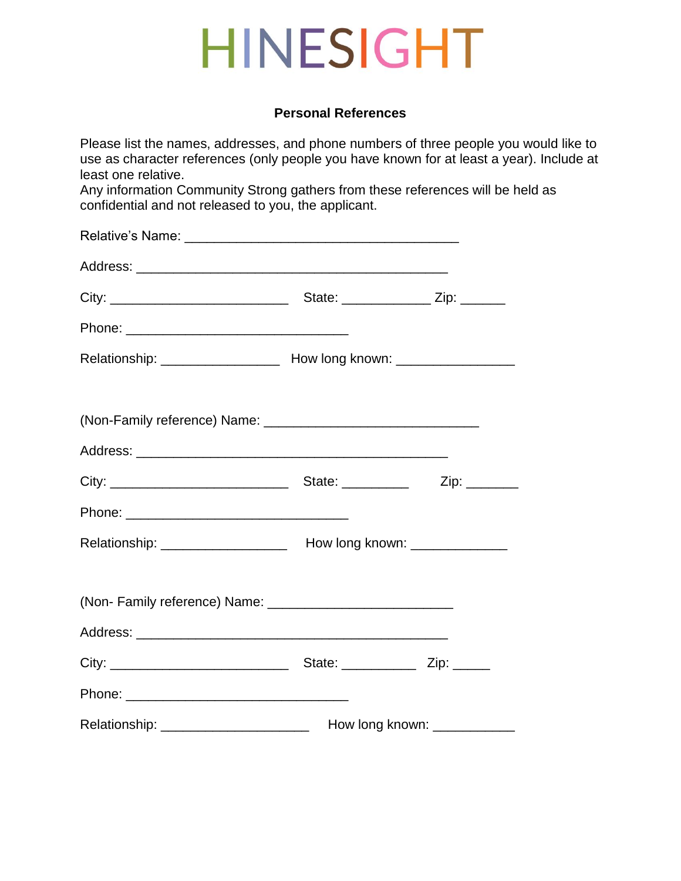### **Personal References**

Please list the names, addresses, and phone numbers of three people you would like to use as character references (only people you have known for at least a year). Include at least one relative.

Any information Community Strong gathers from these references will be held as confidential and not released to you, the applicant.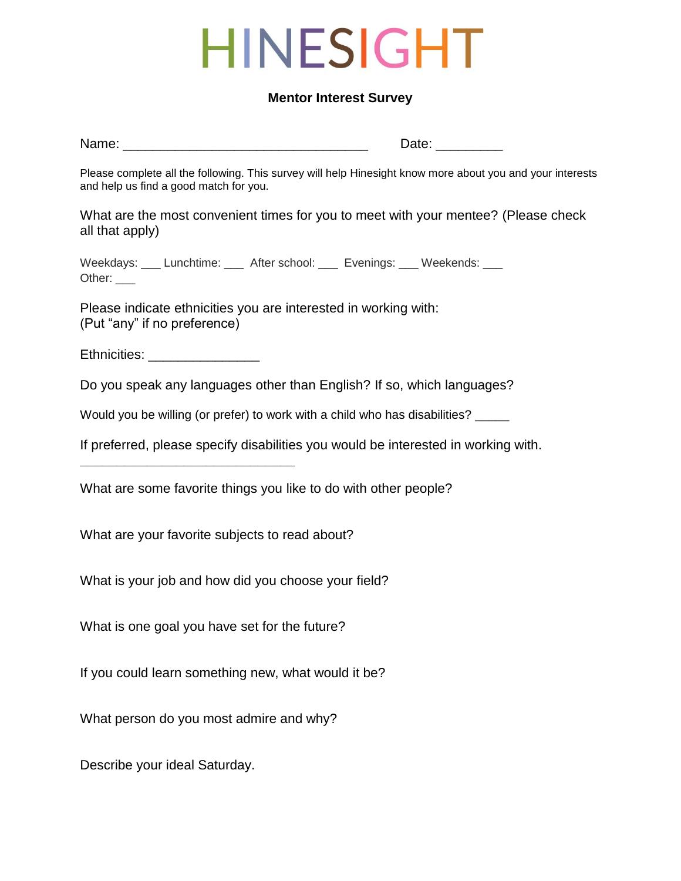#### **Mentor Interest Survey**

Name: \_\_\_\_\_\_\_\_\_\_\_\_\_\_\_\_\_\_\_\_\_\_\_\_\_\_\_\_\_\_\_\_\_ Date: \_\_\_\_\_\_\_\_\_

Please complete all the following. This survey will help Hinesight know more about you and your interests and help us find a good match for you.

What are the most convenient times for you to meet with your mentee? (Please check all that apply)

Weekdays: \_\_\_ Lunchtime: \_\_\_ After school: \_\_\_ Evenings: \_\_\_ Weekends: \_\_\_ Other: \_\_\_\_

Please indicate ethnicities you are interested in working with: (Put "any" if no preference)

Ethnicities: **Example** 

**\_\_\_\_\_\_\_\_\_\_\_\_\_\_\_\_\_\_\_\_\_\_\_\_\_\_\_\_\_**

Do you speak any languages other than English? If so, which languages?

Would you be willing (or prefer) to work with a child who has disabilities? \_\_\_\_

If preferred, please specify disabilities you would be interested in working with.

What are some favorite things you like to do with other people?

What are your favorite subjects to read about?

What is your job and how did you choose your field?

What is one goal you have set for the future?

If you could learn something new, what would it be?

What person do you most admire and why?

Describe your ideal Saturday.